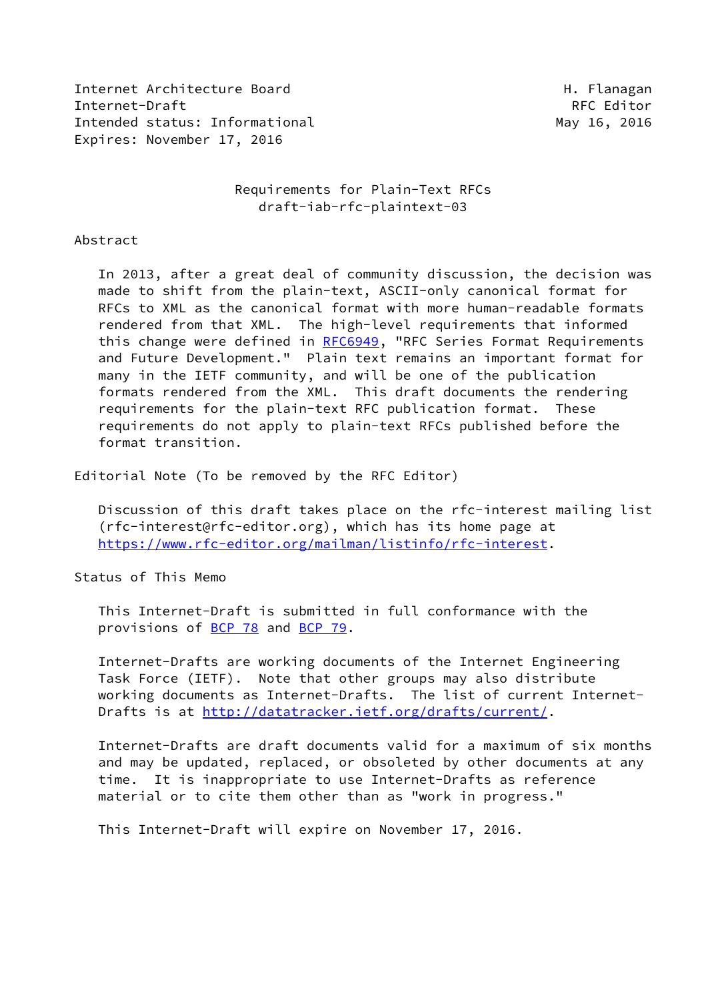Internet Architecture Board **H. Flanagan** Internet-Draft RFC Editor Intended status: Informational and May 16, 2016 Expires: November 17, 2016

# Requirements for Plain-Text RFCs draft-iab-rfc-plaintext-03

#### Abstract

 In 2013, after a great deal of community discussion, the decision was made to shift from the plain-text, ASCII-only canonical format for RFCs to XML as the canonical format with more human-readable formats rendered from that XML. The high-level requirements that informed this change were defined in [RFC6949,](https://datatracker.ietf.org/doc/pdf/rfc6949) "RFC Series Format Requirements and Future Development." Plain text remains an important format for many in the IETF community, and will be one of the publication formats rendered from the XML. This draft documents the rendering requirements for the plain-text RFC publication format. These requirements do not apply to plain-text RFCs published before the format transition.

Editorial Note (To be removed by the RFC Editor)

 Discussion of this draft takes place on the rfc-interest mailing list (rfc-interest@rfc-editor.org), which has its home page at <https://www.rfc-editor.org/mailman/listinfo/rfc-interest>.

Status of This Memo

 This Internet-Draft is submitted in full conformance with the provisions of [BCP 78](https://datatracker.ietf.org/doc/pdf/bcp78) and [BCP 79](https://datatracker.ietf.org/doc/pdf/bcp79).

 Internet-Drafts are working documents of the Internet Engineering Task Force (IETF). Note that other groups may also distribute working documents as Internet-Drafts. The list of current Internet- Drafts is at<http://datatracker.ietf.org/drafts/current/>.

 Internet-Drafts are draft documents valid for a maximum of six months and may be updated, replaced, or obsoleted by other documents at any time. It is inappropriate to use Internet-Drafts as reference material or to cite them other than as "work in progress."

This Internet-Draft will expire on November 17, 2016.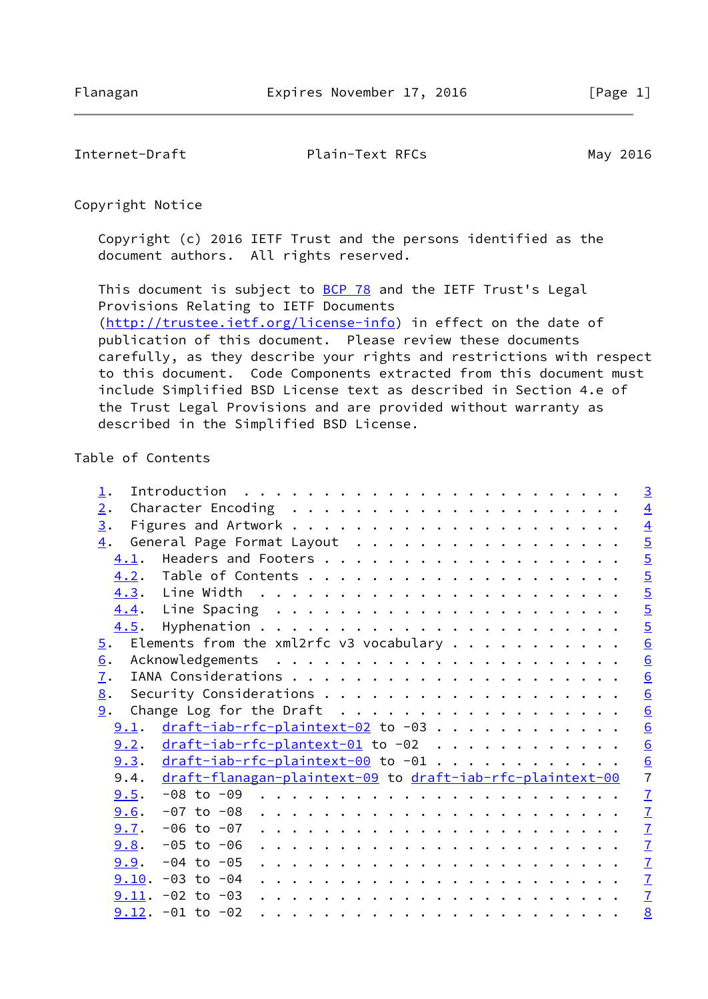Internet-Draft Plain-Text RFCs May 2016

Copyright Notice

 Copyright (c) 2016 IETF Trust and the persons identified as the document authors. All rights reserved.

This document is subject to **[BCP 78](https://datatracker.ietf.org/doc/pdf/bcp78)** and the IETF Trust's Legal Provisions Relating to IETF Documents [\(http://trustee.ietf.org/license-info](http://trustee.ietf.org/license-info)) in effect on the date of publication of this document. Please review these documents carefully, as they describe your rights and restrictions with respect to this document. Code Components extracted from this document must include Simplified BSD License text as described in Section 4.e of the Trust Legal Provisions and are provided without warranty as described in the Simplified BSD License.

# Table of Contents

| $\perp$ .                                                  |  |                                                             |                                                                                                                                                                                                                                                                                                                                                                                                                                                            |  |  |  |  |  |  |  |  |  |  | $\overline{3}$  |
|------------------------------------------------------------|--|-------------------------------------------------------------|------------------------------------------------------------------------------------------------------------------------------------------------------------------------------------------------------------------------------------------------------------------------------------------------------------------------------------------------------------------------------------------------------------------------------------------------------------|--|--|--|--|--|--|--|--|--|--|-----------------|
| 2.                                                         |  |                                                             |                                                                                                                                                                                                                                                                                                                                                                                                                                                            |  |  |  |  |  |  |  |  |  |  | $\overline{4}$  |
| 3.                                                         |  |                                                             |                                                                                                                                                                                                                                                                                                                                                                                                                                                            |  |  |  |  |  |  |  |  |  |  | $\overline{4}$  |
| 4.                                                         |  | General Page Format Layout                                  |                                                                                                                                                                                                                                                                                                                                                                                                                                                            |  |  |  |  |  |  |  |  |  |  | $rac{5}{5}$     |
| 4.1.                                                       |  |                                                             |                                                                                                                                                                                                                                                                                                                                                                                                                                                            |  |  |  |  |  |  |  |  |  |  |                 |
|                                                            |  |                                                             |                                                                                                                                                                                                                                                                                                                                                                                                                                                            |  |  |  |  |  |  |  |  |  |  | $\overline{5}$  |
|                                                            |  |                                                             |                                                                                                                                                                                                                                                                                                                                                                                                                                                            |  |  |  |  |  |  |  |  |  |  | $\overline{5}$  |
|                                                            |  |                                                             |                                                                                                                                                                                                                                                                                                                                                                                                                                                            |  |  |  |  |  |  |  |  |  |  |                 |
| 4.5.                                                       |  |                                                             |                                                                                                                                                                                                                                                                                                                                                                                                                                                            |  |  |  |  |  |  |  |  |  |  | $rac{5}{5}$     |
| $\overline{5}$ .                                           |  | Elements from the xml2rfc v3 vocabulary $\dots \dots \dots$ |                                                                                                                                                                                                                                                                                                                                                                                                                                                            |  |  |  |  |  |  |  |  |  |  | $\underline{6}$ |
| 6.                                                         |  |                                                             |                                                                                                                                                                                                                                                                                                                                                                                                                                                            |  |  |  |  |  |  |  |  |  |  | $\underline{6}$ |
| 7.                                                         |  |                                                             |                                                                                                                                                                                                                                                                                                                                                                                                                                                            |  |  |  |  |  |  |  |  |  |  | $\underline{6}$ |
| 8.                                                         |  |                                                             |                                                                                                                                                                                                                                                                                                                                                                                                                                                            |  |  |  |  |  |  |  |  |  |  | $\underline{6}$ |
| 9.                                                         |  | Change Log for the Draft                                    |                                                                                                                                                                                                                                                                                                                                                                                                                                                            |  |  |  |  |  |  |  |  |  |  | $\underline{6}$ |
| 9.1.                                                       |  | $draff$ -iab-rfc-plaintext-02 to -03                        |                                                                                                                                                                                                                                                                                                                                                                                                                                                            |  |  |  |  |  |  |  |  |  |  | $\underline{6}$ |
| 9.2.                                                       |  | $draff$ -iab-rfc-plantext-01 to -02                         |                                                                                                                                                                                                                                                                                                                                                                                                                                                            |  |  |  |  |  |  |  |  |  |  | $\underline{6}$ |
| <u>9.3. <math>dr</math>aft-iab-rfc-plaintext-00</u> to -01 |  |                                                             |                                                                                                                                                                                                                                                                                                                                                                                                                                                            |  |  |  |  |  |  |  |  |  |  | $\frac{6}{7}$   |
| 9.4.                                                       |  | draft-flanagan-plaintext-09 to draft-iab-rfc-plaintext-00   |                                                                                                                                                                                                                                                                                                                                                                                                                                                            |  |  |  |  |  |  |  |  |  |  |                 |
| 9.5.                                                       |  |                                                             |                                                                                                                                                                                                                                                                                                                                                                                                                                                            |  |  |  |  |  |  |  |  |  |  | $\mathbf{Z}$    |
| 9.6.                                                       |  | -07 to -08                                                  | $\mathbf{r}^{\prime}=\mathbf{r}^{\prime}=\mathbf{r}^{\prime}=\mathbf{r}^{\prime}=\mathbf{r}^{\prime}=\mathbf{r}^{\prime}=\mathbf{r}^{\prime}=\mathbf{r}^{\prime}=\mathbf{r}^{\prime}=\mathbf{r}^{\prime}=\mathbf{r}^{\prime}=\mathbf{r}^{\prime}=\mathbf{r}^{\prime}=\mathbf{r}^{\prime}=\mathbf{r}^{\prime}=\mathbf{r}^{\prime}=\mathbf{r}^{\prime}=\mathbf{r}^{\prime}=\mathbf{r}^{\prime}=\mathbf{r}^{\prime}=\mathbf{r}^{\prime}=\mathbf{r}^{\prime}$  |  |  |  |  |  |  |  |  |  |  | $\overline{1}$  |
| $9.7. -06$ to $-07$                                        |  |                                                             | $\mathbf{a}^{\top} \cdot \mathbf{a}^{\top} \cdot \mathbf{a}^{\top} \cdot \mathbf{a}^{\top} \cdot \mathbf{a}^{\top} \cdot \mathbf{a}^{\top} \cdot \mathbf{a}^{\top} \cdot \mathbf{a}^{\top} \cdot \mathbf{a}^{\top} \cdot \mathbf{a}^{\top} \cdot \mathbf{a}^{\top} \cdot \mathbf{a}^{\top} \cdot \mathbf{a}^{\top} \cdot \mathbf{a}^{\top} \cdot \mathbf{a}^{\top} \cdot \mathbf{a}^{\top} \cdot \mathbf{a}^{\top} \cdot \mathbf{a}^{\top} \cdot \mathbf{$ |  |  |  |  |  |  |  |  |  |  | $\mathbf{I}$    |
| $9.8.$ -05 to -06                                          |  |                                                             | and the contract of the contract of the contract of the contract of the contract of                                                                                                                                                                                                                                                                                                                                                                        |  |  |  |  |  |  |  |  |  |  | $\mathbf{Z}$    |
|                                                            |  |                                                             |                                                                                                                                                                                                                                                                                                                                                                                                                                                            |  |  |  |  |  |  |  |  |  |  | $\mathbf{Z}$    |
| $9.10. -03$ to $-04$                                       |  |                                                             |                                                                                                                                                                                                                                                                                                                                                                                                                                                            |  |  |  |  |  |  |  |  |  |  | $\overline{1}$  |
| $9.11. -02$ to $-03$                                       |  |                                                             |                                                                                                                                                                                                                                                                                                                                                                                                                                                            |  |  |  |  |  |  |  |  |  |  | $\overline{1}$  |
| $9.12. -01$ to $-02$                                       |  |                                                             |                                                                                                                                                                                                                                                                                                                                                                                                                                                            |  |  |  |  |  |  |  |  |  |  | 8               |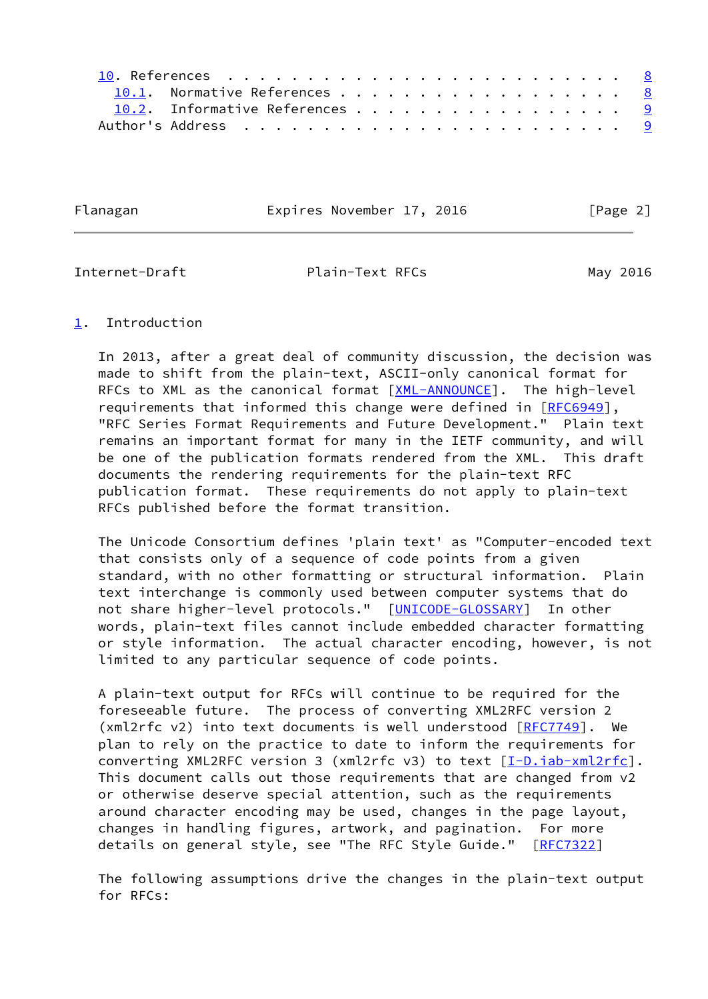| 10.1. Normative References 8   |  |  |  |  |  |  |  |  |  |
|--------------------------------|--|--|--|--|--|--|--|--|--|
| 10.2. Informative References 9 |  |  |  |  |  |  |  |  |  |
|                                |  |  |  |  |  |  |  |  |  |

Flanagan **Expires November 17, 2016** [Page 2]

<span id="page-2-1"></span>Internet-Draft Plain-Text RFCs May 2016

# <span id="page-2-0"></span>[1](#page-2-0). Introduction

 In 2013, after a great deal of community discussion, the decision was made to shift from the plain-text, ASCII-only canonical format for RFCs to XML as the canonical format [\[XML-ANNOUNCE](#page-9-2)]. The high-level requirements that informed this change were defined in [\[RFC6949](https://datatracker.ietf.org/doc/pdf/rfc6949)], "RFC Series Format Requirements and Future Development." Plain text remains an important format for many in the IETF community, and will be one of the publication formats rendered from the XML. This draft documents the rendering requirements for the plain-text RFC publication format. These requirements do not apply to plain-text RFCs published before the format transition.

 The Unicode Consortium defines 'plain text' as "Computer-encoded text that consists only of a sequence of code points from a given standard, with no other formatting or structural information. Plain text interchange is commonly used between computer systems that do not share higher-level protocols." [\[UNICODE-GLOSSARY](#page-9-3)] In other words, plain-text files cannot include embedded character formatting or style information. The actual character encoding, however, is not limited to any particular sequence of code points.

 A plain-text output for RFCs will continue to be required for the foreseeable future. The process of converting XML2RFC version 2 (xml2rfc v2) into text documents is well understood [\[RFC7749](https://datatracker.ietf.org/doc/pdf/rfc7749)]. We plan to rely on the practice to date to inform the requirements for converting XML2RFC version 3 (xml2rfc v3) to text [[I-D.iab-xml2rfc](#page-8-3)]. This document calls out those requirements that are changed from v2 or otherwise deserve special attention, such as the requirements around character encoding may be used, changes in the page layout, changes in handling figures, artwork, and pagination. For more details on general style, see "The RFC Style Guide." [[RFC7322](https://datatracker.ietf.org/doc/pdf/rfc7322)]

 The following assumptions drive the changes in the plain-text output for RFCs: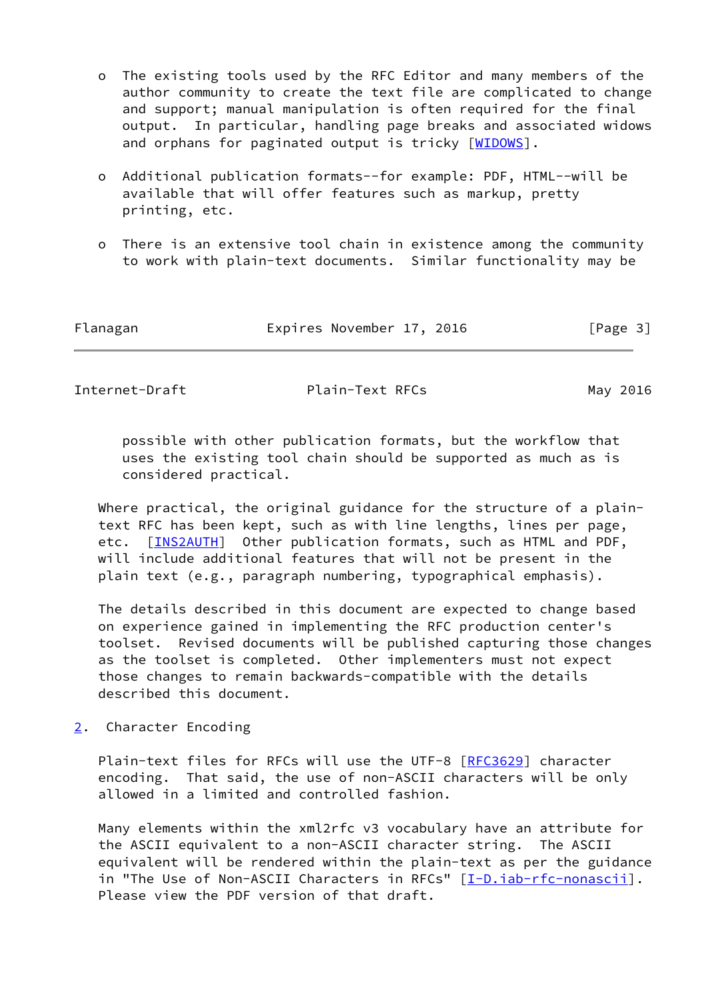- o The existing tools used by the RFC Editor and many members of the author community to create the text file are complicated to change and support; manual manipulation is often required for the final output. In particular, handling page breaks and associated widows and orphans for paginated output is tricky [[WIDOWS](#page-9-4)].
- o Additional publication formats--for example: PDF, HTML--will be available that will offer features such as markup, pretty printing, etc.
- o There is an extensive tool chain in existence among the community to work with plain-text documents. Similar functionality may be

| Flanagan | Expires November 17, 2016 | [Page 3] |
|----------|---------------------------|----------|
|----------|---------------------------|----------|

<span id="page-3-1"></span>Internet-Draft Plain-Text RFCs May 2016

 possible with other publication formats, but the workflow that uses the existing tool chain should be supported as much as is considered practical.

Where practical, the original guidance for the structure of a plain text RFC has been kept, such as with line lengths, lines per page, etc. [[INS2AUTH\]](#page-9-5) Other publication formats, such as HTML and PDF, will include additional features that will not be present in the plain text (e.g., paragraph numbering, typographical emphasis).

 The details described in this document are expected to change based on experience gained in implementing the RFC production center's toolset. Revised documents will be published capturing those changes as the toolset is completed. Other implementers must not expect those changes to remain backwards-compatible with the details described this document.

<span id="page-3-0"></span>[2](#page-3-0). Character Encoding

Plain-text files for RFCs will use the UTF-8 [\[RFC3629](https://datatracker.ietf.org/doc/pdf/rfc3629)] character encoding. That said, the use of non-ASCII characters will be only allowed in a limited and controlled fashion.

 Many elements within the xml2rfc v3 vocabulary have an attribute for the ASCII equivalent to a non-ASCII character string. The ASCII equivalent will be rendered within the plain-text as per the guidance in "The Use of Non-ASCII Characters in RFCs" [\[I-D.iab-rfc-nonascii](#page-8-4)]. Please view the PDF version of that draft.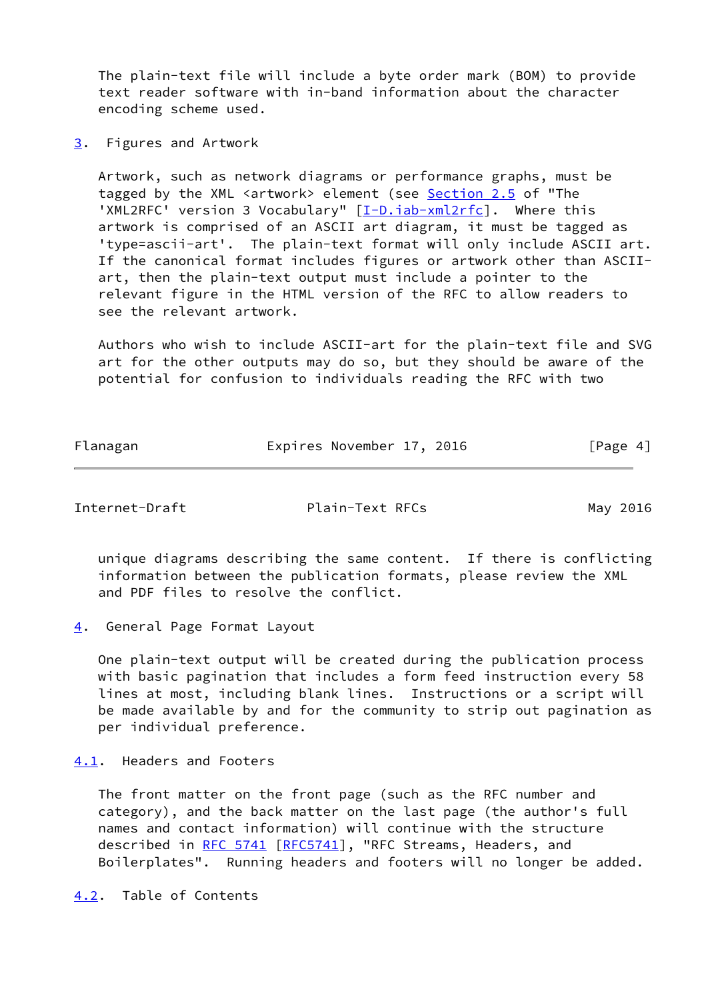The plain-text file will include a byte order mark (BOM) to provide text reader software with in-band information about the character encoding scheme used.

<span id="page-4-0"></span>[3](#page-4-0). Figures and Artwork

 Artwork, such as network diagrams or performance graphs, must be tagged by the XML <artwork> element (see Section 2.5 of "The 'XML2RFC' version 3 Vocabulary" [\[I-D.iab-xml2rfc](#page-8-3)]. Where this artwork is comprised of an ASCII art diagram, it must be tagged as 'type=ascii-art'. The plain-text format will only include ASCII art. If the canonical format includes figures or artwork other than ASCII art, then the plain-text output must include a pointer to the relevant figure in the HTML version of the RFC to allow readers to see the relevant artwork.

 Authors who wish to include ASCII-art for the plain-text file and SVG art for the other outputs may do so, but they should be aware of the potential for confusion to individuals reading the RFC with two

| Flanagan | Expires November 17, 2016 | [Page 4] |
|----------|---------------------------|----------|
|          |                           |          |

<span id="page-4-2"></span>Internet-Draft **Plain-Text RFCs** May 2016

 unique diagrams describing the same content. If there is conflicting information between the publication formats, please review the XML and PDF files to resolve the conflict.

<span id="page-4-1"></span>[4](#page-4-1). General Page Format Layout

 One plain-text output will be created during the publication process with basic pagination that includes a form feed instruction every 58 lines at most, including blank lines. Instructions or a script will be made available by and for the community to strip out pagination as per individual preference.

<span id="page-4-3"></span>[4.1](#page-4-3). Headers and Footers

 The front matter on the front page (such as the RFC number and category), and the back matter on the last page (the author's full names and contact information) will continue with the structure described in [RFC 5741](https://datatracker.ietf.org/doc/pdf/rfc5741) [[RFC5741](https://datatracker.ietf.org/doc/pdf/rfc5741)], "RFC Streams, Headers, and Boilerplates". Running headers and footers will no longer be added.

<span id="page-4-4"></span>[4.2](#page-4-4). Table of Contents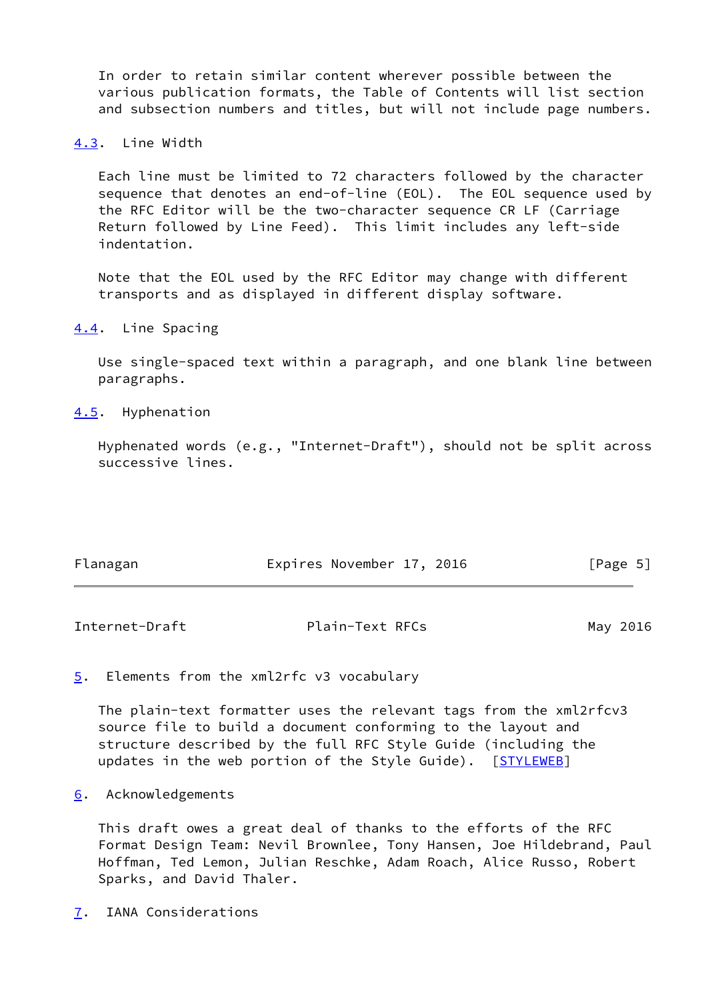In order to retain similar content wherever possible between the various publication formats, the Table of Contents will list section and subsection numbers and titles, but will not include page numbers.

# <span id="page-5-0"></span>[4.3](#page-5-0). Line Width

 Each line must be limited to 72 characters followed by the character sequence that denotes an end-of-line (EOL). The EOL sequence used by the RFC Editor will be the two-character sequence CR LF (Carriage Return followed by Line Feed). This limit includes any left-side indentation.

 Note that the EOL used by the RFC Editor may change with different transports and as displayed in different display software.

### <span id="page-5-1"></span>[4.4](#page-5-1). Line Spacing

 Use single-spaced text within a paragraph, and one blank line between paragraphs.

#### <span id="page-5-2"></span>[4.5](#page-5-2). Hyphenation

 Hyphenated words (e.g., "Internet-Draft"), should not be split across successive lines.

| Flanagan | Expires November 17, 2016 | [Page 5] |
|----------|---------------------------|----------|
|          |                           |          |

<span id="page-5-4"></span>Internet-Draft Plain-Text RFCs May 2016

<span id="page-5-3"></span>[5](#page-5-3). Elements from the xml2rfc v3 vocabulary

 The plain-text formatter uses the relevant tags from the xml2rfcv3 source file to build a document conforming to the layout and structure described by the full RFC Style Guide (including the updates in the web portion of the Style Guide). [\[STYLEWEB](#page-9-6)]

### <span id="page-5-5"></span>[6](#page-5-5). Acknowledgements

 This draft owes a great deal of thanks to the efforts of the RFC Format Design Team: Nevil Brownlee, Tony Hansen, Joe Hildebrand, Paul Hoffman, Ted Lemon, Julian Reschke, Adam Roach, Alice Russo, Robert Sparks, and David Thaler.

<span id="page-5-6"></span>[7](#page-5-6). IANA Considerations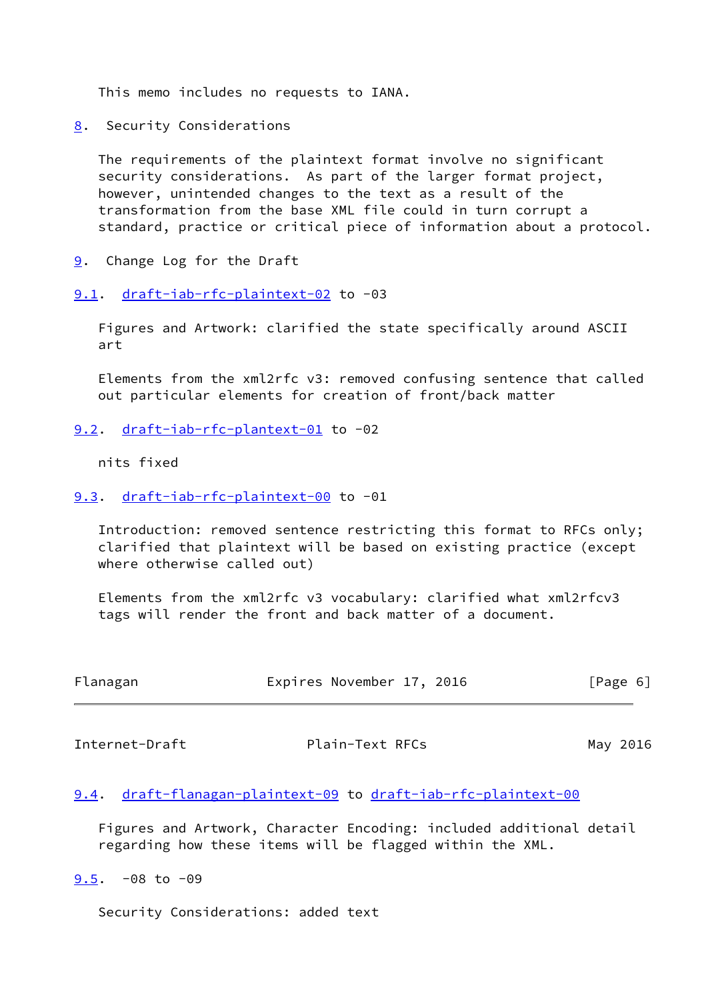This memo includes no requests to IANA.

<span id="page-6-0"></span>[8](#page-6-0). Security Considerations

 The requirements of the plaintext format involve no significant security considerations. As part of the larger format project, however, unintended changes to the text as a result of the transformation from the base XML file could in turn corrupt a standard, practice or critical piece of information about a protocol.

- <span id="page-6-1"></span>[9](#page-6-1). Change Log for the Draft
- <span id="page-6-2"></span>[9.1](#page-6-2). [draft-iab-rfc-plaintext-02](https://datatracker.ietf.org/doc/pdf/draft-iab-rfc-plaintext-02) to -03

 Figures and Artwork: clarified the state specifically around ASCII art

 Elements from the xml2rfc v3: removed confusing sentence that called out particular elements for creation of front/back matter

<span id="page-6-3"></span>[9.2](#page-6-3). [draft-iab-rfc-plantext-01](https://datatracker.ietf.org/doc/pdf/draft-iab-rfc-plantext-01) to -02

nits fixed

<span id="page-6-4"></span>[9.3](#page-6-4). [draft-iab-rfc-plaintext-00](https://datatracker.ietf.org/doc/pdf/draft-iab-rfc-plaintext-00) to -01

 Introduction: removed sentence restricting this format to RFCs only; clarified that plaintext will be based on existing practice (except where otherwise called out)

 Elements from the xml2rfc v3 vocabulary: clarified what xml2rfcv3 tags will render the front and back matter of a document.

| Flanagan | Expires November 17, 2016 | [Page 6] |
|----------|---------------------------|----------|
|          |                           |          |

<span id="page-6-6"></span>Internet-Draft Plain-Text RFCs May 2016

#### <span id="page-6-7"></span>[9.4](#page-6-7). [draft-flanagan-plaintext-09](https://datatracker.ietf.org/doc/pdf/draft-flanagan-plaintext-09) to [draft-iab-rfc-plaintext-00](https://datatracker.ietf.org/doc/pdf/draft-iab-rfc-plaintext-00)

 Figures and Artwork, Character Encoding: included additional detail regarding how these items will be flagged within the XML.

<span id="page-6-5"></span> $9.5. -08$  $9.5. -08$  to  $-09$ 

Security Considerations: added text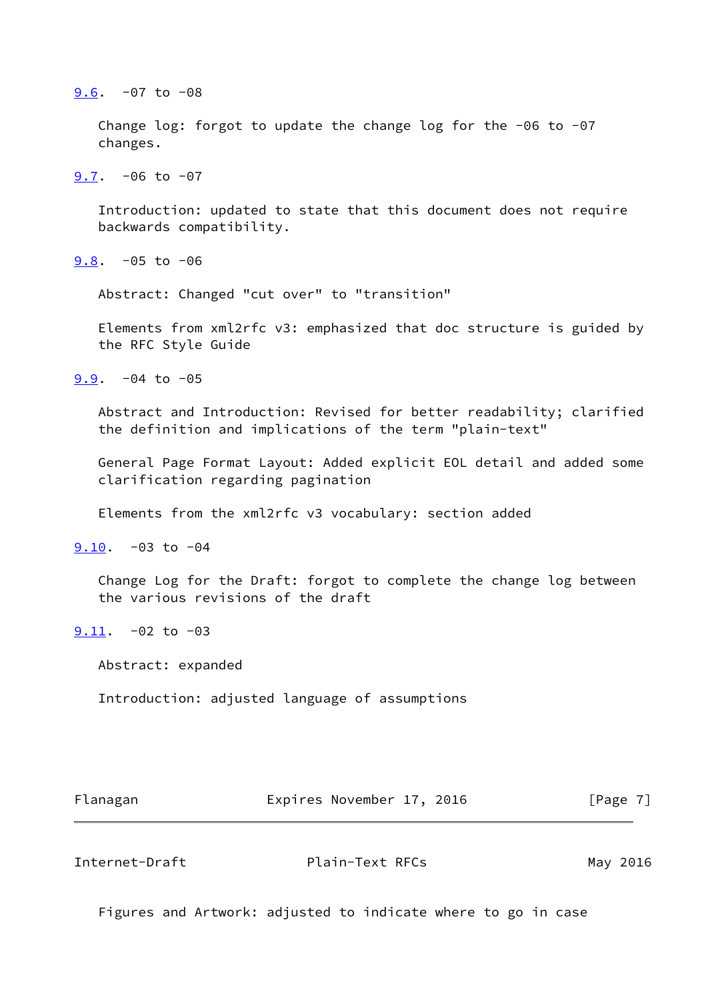#### <span id="page-7-0"></span>[9.6](#page-7-0). -07 to -08

 Change log: forgot to update the change log for the -06 to -07 changes.

<span id="page-7-1"></span> $9.7. -06$  $9.7. -06$  to  $-07$ 

 Introduction: updated to state that this document does not require backwards compatibility.

<span id="page-7-2"></span> $9.8. -05$  $9.8. -05$  to  $-06$ 

Abstract: Changed "cut over" to "transition"

 Elements from xml2rfc v3: emphasized that doc structure is guided by the RFC Style Guide

<span id="page-7-3"></span> $9.9. -04$  $9.9. -04$  to  $-05$ 

 Abstract and Introduction: Revised for better readability; clarified the definition and implications of the term "plain-text"

 General Page Format Layout: Added explicit EOL detail and added some clarification regarding pagination

Elements from the xml2rfc v3 vocabulary: section added

<span id="page-7-4"></span>[9.10](#page-7-4). -03 to -04

 Change Log for the Draft: forgot to complete the change log between the various revisions of the draft

<span id="page-7-5"></span> $9.11. -02$  $9.11. -02$  to  $-03$ 

Abstract: expanded

Introduction: adjusted language of assumptions

Flanagan **Expires November 17, 2016** [Page 7]

<span id="page-7-6"></span>Internet-Draft Plain-Text RFCs May 2016

Figures and Artwork: adjusted to indicate where to go in case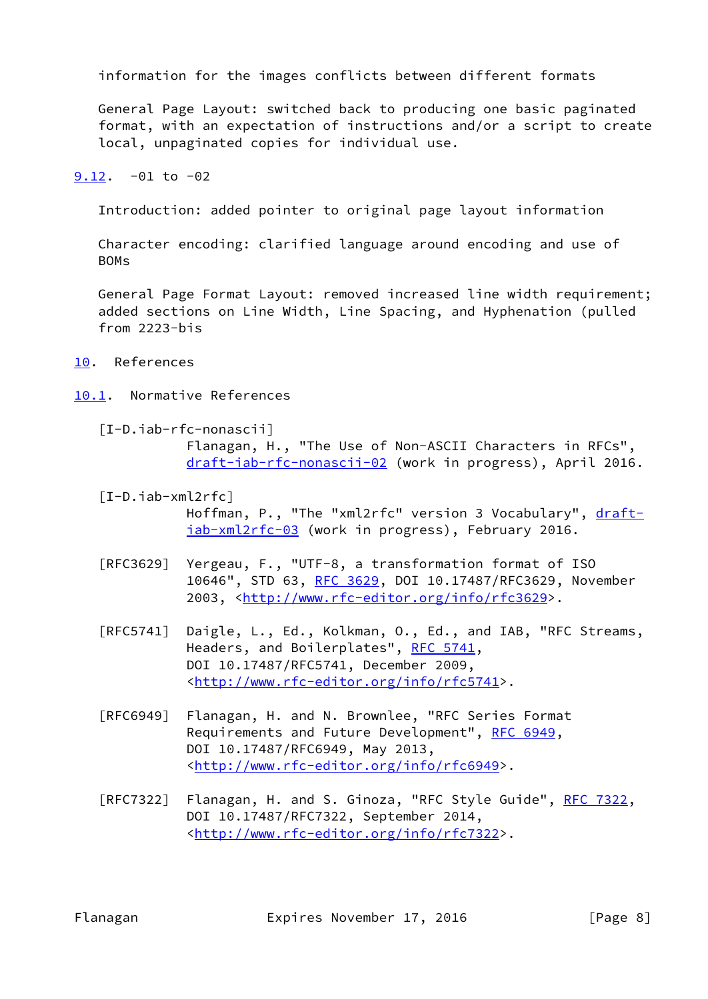information for the images conflicts between different formats

 General Page Layout: switched back to producing one basic paginated format, with an expectation of instructions and/or a script to create local, unpaginated copies for individual use.

<span id="page-8-0"></span> $9.12. -01$  $9.12. -01$  to  $-02$ 

Introduction: added pointer to original page layout information

 Character encoding: clarified language around encoding and use of BOMs

 General Page Format Layout: removed increased line width requirement; added sections on Line Width, Line Spacing, and Hyphenation (pulled from 2223-bis

- <span id="page-8-1"></span>[10.](#page-8-1) References
- <span id="page-8-4"></span><span id="page-8-2"></span>[10.1](#page-8-2). Normative References
	- [I-D.iab-rfc-nonascii]

 Flanagan, H., "The Use of Non-ASCII Characters in RFCs", [draft-iab-rfc-nonascii-02](https://datatracker.ietf.org/doc/pdf/draft-iab-rfc-nonascii-02) (work in progress), April 2016.

<span id="page-8-3"></span>[I-D.iab-xml2rfc]

Hoffman, P., "The "xml2rfc" version 3 Vocabulary", [draft](https://datatracker.ietf.org/doc/pdf/draft-iab-xml2rfc-03) [iab-xml2rfc-03](https://datatracker.ietf.org/doc/pdf/draft-iab-xml2rfc-03) (work in progress), February 2016.

- [RFC3629] Yergeau, F., "UTF-8, a transformation format of ISO 10646", STD 63, [RFC 3629,](https://datatracker.ietf.org/doc/pdf/rfc3629) DOI 10.17487/RFC3629, November 2003, [<http://www.rfc-editor.org/info/rfc3629](http://www.rfc-editor.org/info/rfc3629)>.
- [RFC5741] Daigle, L., Ed., Kolkman, O., Ed., and IAB, "RFC Streams, Headers, and Boilerplates", [RFC 5741,](https://datatracker.ietf.org/doc/pdf/rfc5741) DOI 10.17487/RFC5741, December 2009, <<http://www.rfc-editor.org/info/rfc5741>>.
- [RFC6949] Flanagan, H. and N. Brownlee, "RFC Series Format Requirements and Future Development", [RFC 6949](https://datatracker.ietf.org/doc/pdf/rfc6949), DOI 10.17487/RFC6949, May 2013, <<http://www.rfc-editor.org/info/rfc6949>>.
- [RFC7322] Flanagan, H. and S. Ginoza, "RFC Style Guide", [RFC 7322](https://datatracker.ietf.org/doc/pdf/rfc7322), DOI 10.17487/RFC7322, September 2014, <<http://www.rfc-editor.org/info/rfc7322>>.